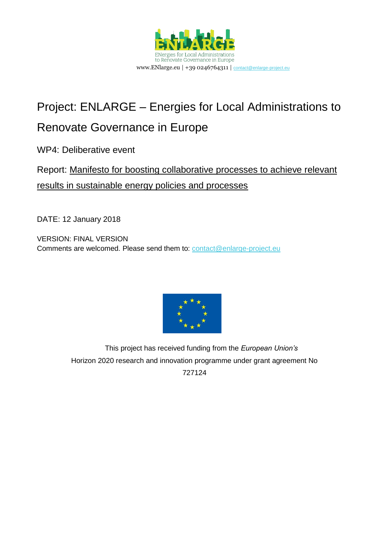

# Project: ENLARGE – Energies for Local Administrations to

## Renovate Governance in Europe

WP4: Deliberative event

### Report: Manifesto for boosting collaborative processes to achieve relevant results in sustainable energy policies and processes

DATE: 12 January 2018

VERSION: FINAL VERSION Comments are welcomed. Please send them to: [contact@enlarge-project.eu](mailto:contact@enlarge-project.eu)



This project has received funding from the *European Union's* Horizon 2020 research and innovation programme under grant agreement No 727124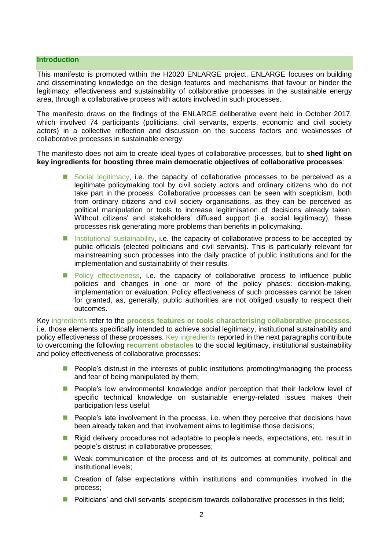#### **Introduction**

This manifesto is promoted within the H2020 ENLARGE project. ENLARGE focuses on building and disseminating knowledge on the design features and mechanisms that favour or hinder the legitimacy, effectiveness and sustainability of collaborative processes in the sustainable energy area, through a collaborative process with actors involved in such processes.

The manifesto draws on the findings of the ENLARGE deliberative event held in October 2017, which involved 74 participants (politicians, civil servants, experts, economic and civil society actors) in a collective reflection and discussion on the success factors and weaknesses of collaborative processes in sustainable energy.

The manifesto does not aim to create ideal types of collaborative processes, but to **shed light on key ingredients for boosting three main democratic objectives of collaborative processes**:

- Social legitimacy, i.e. the capacity of collaborative processes to be perceived as a legitimate policymaking tool by civil society actors and ordinary citizens who do not take part in the process. Collaborative processes can be seen with scepticism, both from ordinary citizens and civil society organisations, as they can be perceived as political manipulation or tools to increase legitimisation of decisions already taken. Without citizens' and stakeholders' diffused support (i.e. social legitimacy), these processes risk generating more problems than benefits in policymaking.
- Institutional sustainability, i.e. the capacity of collaborative process to be accepted by public officials (elected politicians and civil servants). This is particularly relevant for mainstreaming such processes into the daily practice of public institutions and for the implementation and sustainability of their results.
- **Policy effectiveness, i.e. the capacity of collaborative process to influence public** policies and changes in one or more of the policy phases: decision-making, implementation or evaluation. Policy effectiveness of such processes cannot be taken for granted, as, generally, public authorities are not obliged usually to respect their outcomes.

Key ingredients refer to the **process features or tools characterising collaborative processes**, i.e. those elements specifically intended to achieve social legitimacy, institutional sustainability and policy effectiveness of these processes. Key ingredients reported in the next paragraphs contribute to overcoming the following **recurrent obstacles** to the social legitimacy, institutional sustainability and policy effectiveness of collaborative processes:

- **People's distrust in the interests of public institutions promoting/managing the process** and fear of being manipulated by them;
- **People's low environmental knowledge and/or perception that their lack/low level of** specific technical knowledge on sustainable energy-related issues makes their participation less useful;
- **People's late involvement in the process, i.e. when they perceive that decisions have** been already taken and that involvement aims to legitimise those decisions;
- **Rigid delivery procedures not adaptable to people's needs, expectations, etc. result in** people's distrust in collaborative processes;
- Weak communication of the process and of its outcomes at community, political and institutional levels;
- **E** Creation of false expectations within institutions and communities involved in the process;
- **Politicians' and civil servants' scepticism towards collaborative processes in this field;**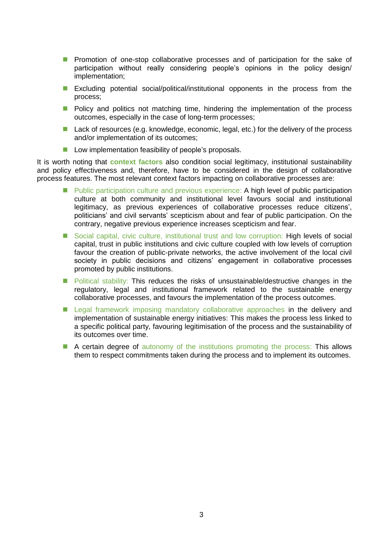- **Promotion of one-stop collaborative processes and of participation for the sake of** participation without really considering people's opinions in the policy design/ implementation;
- **Excluding potential social/political/institutional opponents in the process from the** process;
- **Policy and politics not matching time, hindering the implementation of the process** outcomes, especially in the case of long-term processes;
- Lack of resources (e.g. knowledge, economic, legal, etc.) for the delivery of the process and/or implementation of its outcomes;
- **Low implementation feasibility of people's proposals.**

It is worth noting that **context factors** also condition social legitimacy, institutional sustainability and policy effectiveness and, therefore, have to be considered in the design of collaborative process features. The most relevant context factors impacting on collaborative processes are:

- **Public participation culture and previous experience: A high level of public participation** culture at both community and institutional level favours social and institutional legitimacy, as previous experiences of collaborative processes reduce citizens', politicians' and civil servants' scepticism about and fear of public participation. On the contrary, negative previous experience increases scepticism and fear.
- Social capital, civic culture, institutional trust and low corruption: High levels of social capital, trust in public institutions and civic culture coupled with low levels of corruption favour the creation of public-private networks, the active involvement of the local civil society in public decisions and citizens' engagement in collaborative processes promoted by public institutions.
- **Political stability:** This reduces the risks of unsustainable/destructive changes in the regulatory, legal and institutional framework related to the sustainable energy collaborative processes, and favours the implementation of the process outcomes.
- **E** Legal framework imposing mandatory collaborative approaches in the delivery and implementation of sustainable energy initiatives: This makes the process less linked to a specific political party, favouring legitimisation of the process and the sustainability of its outcomes over time.
- A certain degree of autonomy of the institutions promoting the process: This allows them to respect commitments taken during the process and to implement its outcomes.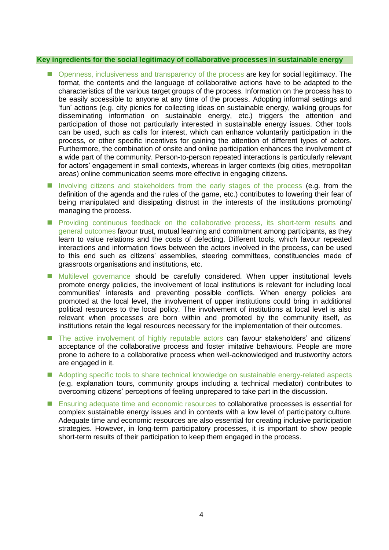#### **Key ingredients for the social legitimacy of collaborative processes in sustainable energy**

- Openness, inclusiveness and transparency of the process are key for social legitimacy. The format, the contents and the language of collaborative actions have to be adapted to the characteristics of the various target groups of the process. Information on the process has to be easily accessible to anyone at any time of the process. Adopting informal settings and 'fun' actions (e.g. city picnics for collecting ideas on sustainable energy, walking groups for disseminating information on sustainable energy, etc.) triggers the attention and participation of those not particularly interested in sustainable energy issues. Other tools can be used, such as calls for interest, which can enhance voluntarily participation in the process, or other specific incentives for gaining the attention of different types of actors. Furthermore, the combination of onsite and online participation enhances the involvement of a wide part of the community. Person-to-person repeated interactions is particularly relevant for actors' engagement in small contexts, whereas in larger contexts (big cities, metropolitan areas) online communication seems more effective in engaging citizens.
- Involving citizens and stakeholders from the early stages of the process (e.g. from the definition of the agenda and the rules of the game, etc.) contributes to lowering their fear of being manipulated and dissipating distrust in the interests of the institutions promoting/ managing the process.
- **Providing continuous feedback on the collaborative process, its short-term results and** general outcomes favour trust, mutual learning and commitment among participants, as they learn to value relations and the costs of defecting. Different tools, which favour repeated interactions and information flows between the actors involved in the process, can be used to this end such as citizens' assemblies, steering committees, constituencies made of grassroots organisations and institutions, etc.
- **Multilevel governance should be carefully considered. When upper institutional levels** promote energy policies, the involvement of local institutions is relevant for including local communities' interests and preventing possible conflicts. When energy policies are promoted at the local level, the involvement of upper institutions could bring in additional political resources to the local policy. The involvement of institutions at local level is also relevant when processes are born within and promoted by the community itself, as institutions retain the legal resources necessary for the implementation of their outcomes.
- The active involvement of highly reputable actors can favour stakeholders' and citizens' acceptance of the collaborative process and foster imitative behaviours. People are more prone to adhere to a collaborative process when well-acknowledged and trustworthy actors are engaged in it.
- Adopting specific tools to share technical knowledge on sustainable energy-related aspects (e.g. explanation tours, community groups including a technical mediator) contributes to overcoming citizens' perceptions of feeling unprepared to take part in the discussion.
- Ensuring adequate time and economic resources to collaborative processes is essential for complex sustainable energy issues and in contexts with a low level of participatory culture. Adequate time and economic resources are also essential for creating inclusive participation strategies. However, in long-term participatory processes, it is important to show people short-term results of their participation to keep them engaged in the process.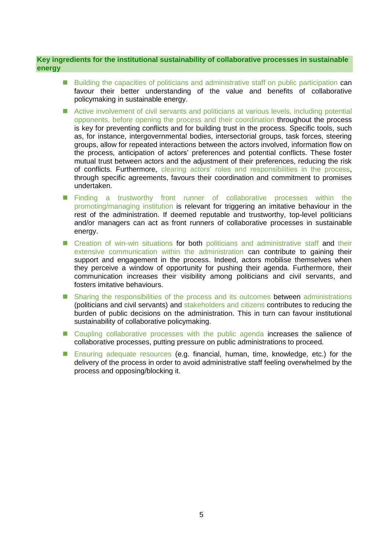#### **Key ingredients for the institutional sustainability of collaborative processes in sustainable energy**

- **Building the capacities of politicians and administrative staff on public participation can** favour their better understanding of the value and benefits of collaborative policymaking in sustainable energy.
- Active involvement of civil servants and politicians at various levels, including potential opponents, before opening the process and their coordination throughout the process is key for preventing conflicts and for building trust in the process. Specific tools, such as, for instance, intergovernmental bodies, intersectorial groups, task forces, steering groups, allow for repeated interactions between the actors involved, information flow on the process, anticipation of actors' preferences and potential conflicts. These foster mutual trust between actors and the adjustment of their preferences, reducing the risk of conflicts. Furthermore, clearing actors' roles and responsibilities in the process, through specific agreements, favours their coordination and commitment to promises undertaken.
- **Finding a trustworthy front runner of collaborative processes within the** promoting/managing institution is relevant for triggering an imitative behaviour in the rest of the administration. If deemed reputable and trustworthy, top-level politicians and/or managers can act as front runners of collaborative processes in sustainable energy.
- **E** Creation of win-win situations for both politicians and administrative staff and their extensive communication within the administration can contribute to gaining their support and engagement in the process. Indeed, actors mobilise themselves when they perceive a window of opportunity for pushing their agenda. Furthermore, their communication increases their visibility among politicians and civil servants, and fosters imitative behaviours.
- **E** Sharing the responsibilities of the process and its outcomes between administrations (politicians and civil servants) and stakeholders and citizens contributes to reducing the burden of public decisions on the administration. This in turn can favour institutional sustainability of collaborative policymaking.
- Coupling collaborative processes with the public agenda increases the salience of collaborative processes, putting pressure on public administrations to proceed.
- Ensuring adequate resources (e.g. financial, human, time, knowledge, etc.) for the delivery of the process in order to avoid administrative staff feeling overwhelmed by the process and opposing/blocking it.